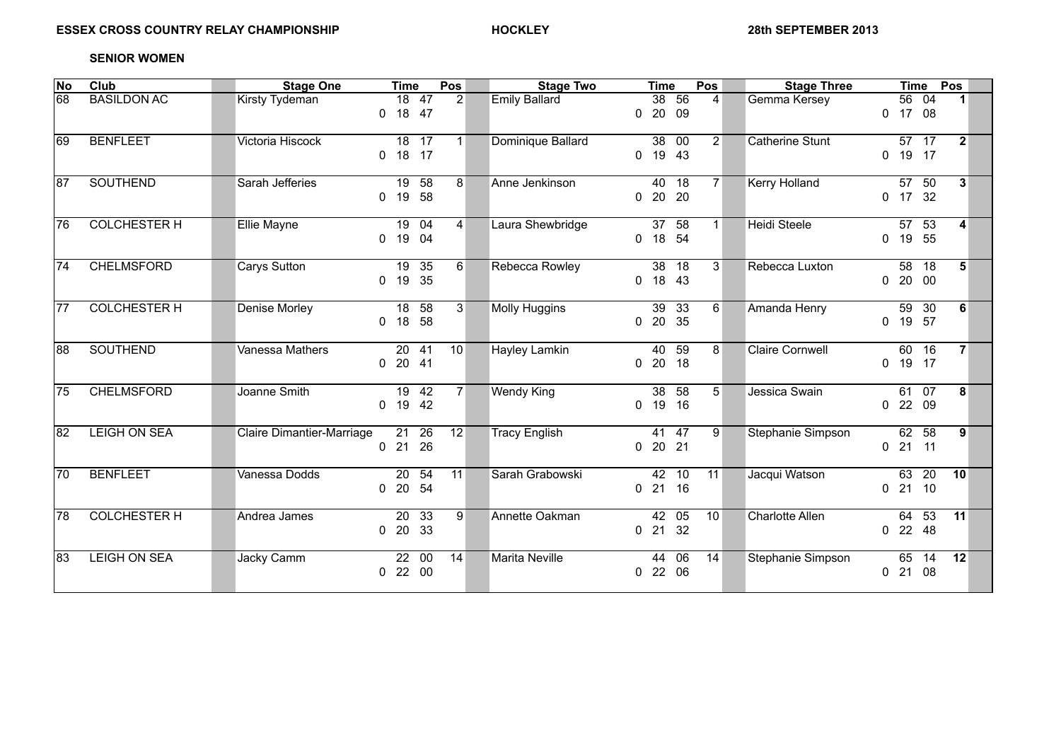## **SENIOR WOMEN**

| No  | Club                | <b>Stage One</b>          | <b>Time</b>                       | Pos             | <b>Stage Two</b>     | <b>Time</b>                               | Pos            | <b>Stage Three</b>     | <b>Time</b>              | Pos                  |
|-----|---------------------|---------------------------|-----------------------------------|-----------------|----------------------|-------------------------------------------|----------------|------------------------|--------------------------|----------------------|
| 68  | <b>BASILDON AC</b>  | Kirsty Tydeman            | 18 47<br>18 47<br>$\Omega$        | 2               | <b>Emily Ballard</b> | 38 56<br>$0$ 20 09                        | $\overline{4}$ | Gemma Kersey           | 56 04<br>$0$ 17 08       | $\blacktriangleleft$ |
| 169 | <b>BENFLEET</b>     | Victoria Hiscock          | 18 17<br>$0$ 18 17                | 1 <sup>1</sup>  | Dominique Ballard    | 38 00<br>$0$ 19 43                        | 2 <sup>1</sup> | <b>Catherine Stunt</b> | 57 17<br>$0$ 19 17       | $2 \nvert$           |
| 187 | <b>SOUTHEND</b>     | Sarah Jefferies           | 19 58<br>58<br>19<br>$\Omega$     | 8 <sup>1</sup>  | Anne Jenkinson       | 40 18<br>$0$ 20 20                        | 7 <sup>1</sup> | <b>Kerry Holland</b>   | 57 50<br>$0$ 17 32       | 3                    |
| 76  | <b>COLCHESTER H</b> | <b>Ellie Mayne</b>        | 19 04<br>0 19 04                  | $\vert 4 \vert$ | Laura Shewbridge     | $\overline{37}$ 58<br>0 18 54             | 1 <sup>1</sup> | <b>Heidi Steele</b>    | $57$ 53<br>0 19 55       | $\overline{4}$       |
| 74  | <b>CHELMSFORD</b>   | Carys Sutton              | 19 35<br>0 19 35                  | 6 <sup>1</sup>  | Rebecca Rowley       | 38<br>18<br>$0$ 18 43                     | 3 <sup>1</sup> | Rebecca Luxton         | 58 18<br>$0$ 20 00       | 5 <sup>5</sup>       |
| 77  | <b>COLCHESTER H</b> | Denise Morley             | 18 58<br>18<br>58<br>$\Omega$     | 3 <sup>1</sup>  | <b>Molly Huggins</b> | 39 33<br>0 20 35                          | $6 \mid$       | Amanda Henry           | 59 30<br>0 19 57         | 6                    |
| 188 | <b>SOUTHEND</b>     | Vanessa Mathers           | 20 41<br>$0$ 20 41                | 10              | <b>Hayley Lamkin</b> | $\overline{59}$<br>40<br>$0\quad20$<br>18 | 8 <sup>1</sup> | <b>Claire Cornwell</b> | 60 16<br>0 19 17         | $\overline{7}$       |
| 75  | <b>CHELMSFORD</b>   | Joanne Smith              | 19 42<br>$0$ 19 42                | 7 <sup>1</sup>  | <b>Wendy King</b>    | 38<br>58<br>19<br>16<br>$\Omega$          | 5 <sup>1</sup> | Jessica Swain          | 61 07<br>$0$ 22 09       | 8                    |
| 182 | <b>LEIGH ON SEA</b> | Claire Dimantier-Marriage | $\overline{21}$ 26<br>$0$ 21 26   | 12              | <b>Tracy English</b> | $41$ $47$<br>$0$ 20 21                    | 9              | Stephanie Simpson      | $62$ 58<br>$0$ 21 11     | 9 <sup>1</sup>       |
| 70  | <b>BENFLEET</b>     | Vanessa Dodds             | 20, 54<br>20 54<br>$\mathbf{0}$   | 11              | Sarah Grabowski      | 10<br>42<br>$0$ 21 16                     | 11             | Jacqui Watson          | $63$ 20<br>$0$ 21 10     | 10                   |
| 78  | <b>COLCHESTER H</b> | Andrea James              | $20\quad 33$<br>20 33<br>$\Omega$ | 9 <sup>1</sup>  | Annette Oakman       | 42 05<br>21 32<br>$\mathbf{0}$            | 10             | <b>Charlotte Allen</b> | $-53$<br>64<br>$0$ 22 48 | 11                   |
| 183 | <b>LEIGH ON SEA</b> | Jacky Camm                | 22 00<br>$0$ 22 00                | 14              | Marita Neville       | 44 06<br>$0$ 22 06                        | 14             | Stephanie Simpson      | 65 14<br>$0$ 21 08       | 12                   |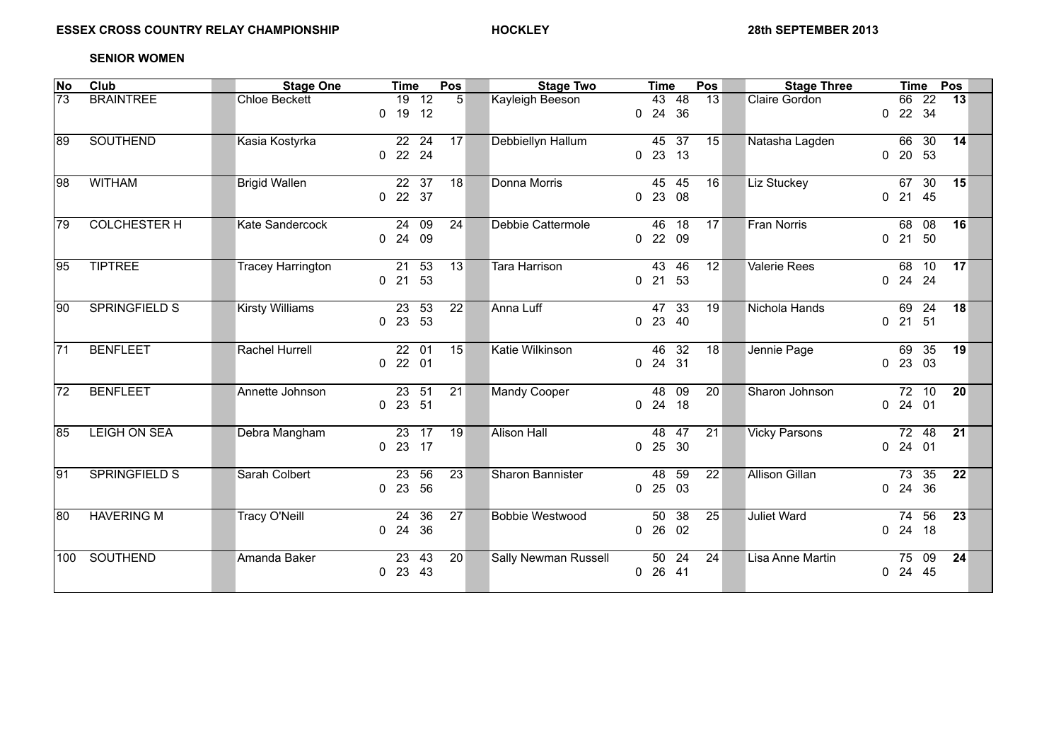## **SENIOR WOMEN**

| No  | Club                 | <b>Stage One</b>         | <b>Time</b>                                   | Pos             | <b>Stage Two</b>        | <b>Time</b>           | Pos             | <b>Stage Three</b>    | <b>Time</b><br>Pos                                    |
|-----|----------------------|--------------------------|-----------------------------------------------|-----------------|-------------------------|-----------------------|-----------------|-----------------------|-------------------------------------------------------|
| 73  | <b>BRAINTREE</b>     | <b>Chloe Beckett</b>     | $19$ 12<br>$0$ 19 12                          | 5               | Kayleigh Beeson         | 43 48<br>$0$ 24 36    | 13              | Claire Gordon         | 66 22<br>13<br>22 34<br>$\overline{0}$                |
| 189 | <b>SOUTHEND</b>      | Kasia Kostyrka           | 22 24<br>0 22 24                              | 17              | Debbiellyn Hallum       | 45 37<br>$0$ 23 13    | 15              | Natasha Lagden        | 66 30<br>14<br>0 20 53                                |
| 98  | <b>WITHAM</b>        | <b>Brigid Wallen</b>     | 22 37<br>0 22 37                              | 18              | Donna Morris            | 45 45<br>$0$ 23 08    | 16              | Liz Stuckey           | 67 30<br>15<br>0 21 45                                |
| 79  | <b>COLCHESTER H</b>  | <b>Kate Sandercock</b>   | 2409<br>$0$ 24 09                             | 24              | Debbie Cattermole       | 46 18<br>$0$ 22 09    | 17              | <b>Fran Norris</b>    | 16<br>68 08<br>$0$ 21 50                              |
| 195 | <b>TIPTREE</b>       | <b>Tracey Harrington</b> | 21 53<br>21 53<br>$\mathbf{0}$                | 13              | <b>Tara Harrison</b>    | 43 46<br>$0$ 21 53    | 12              | <b>Valerie Rees</b>   | 17<br>68 10<br>0 24 24                                |
| 190 | <b>SPRINGFIELD S</b> | <b>Kirsty Williams</b>   | 23 53<br>0 23 53                              | 22              | Anna Luff               | 47 33<br>$0$ 23 40    | 19              | Nichola Hands         | 69 24<br>18<br>$0$ 21 51                              |
| 71  | <b>BENFLEET</b>      | <b>Rachel Hurrell</b>    | $22 \t 01$<br>$0$ 22 01                       | $\overline{15}$ | Katie Wilkinson         | 46 32<br>$0$ 24 31    | $\overline{18}$ | Jennie Page           | 69 35<br>19<br>$0$ 23 03                              |
| 72  | <b>BENFLEET</b>      | Annette Johnson          | 23 51<br>$0$ 23 51                            | 21              | Mandy Cooper            | 48<br>09<br>$0$ 24 18 | 20              | Sharon Johnson        | 72 10<br>20<br>$0$ 24 01                              |
| 185 | <b>LEIGH ON SEA</b>  | Debra Mangham            | 23 17<br>$0$ 23 17                            | 19              | <b>Alison Hall</b>      | 48 47<br>$0$ 25 30    | $\overline{21}$ | <b>Vicky Parsons</b>  | $72$ 48<br>21<br>$0$ 24 01                            |
| 191 | <b>SPRINGFIELD S</b> | Sarah Colbert            | $\overline{23}$<br>56<br>23<br>56<br>$\Omega$ | $\overline{23}$ | <b>Sharon Bannister</b> | 48 59<br>$0$ 25 03    | $\overline{22}$ | <b>Allison Gillan</b> | 73, 35<br>$\overline{22}$<br>0 24 36                  |
| 180 | <b>HAVERING M</b>    | <b>Tracy O'Neill</b>     | $24$ 36<br>24 36<br>$\Omega$                  | 27              | <b>Bobbie Westwood</b>  | $50$ 38<br>0, 26, 02  | $\overline{25}$ | <b>Juliet Ward</b>    | $\overline{56}$<br>74<br>$\overline{23}$<br>$0$ 24 18 |
| 100 | SOUTHEND             | Amanda Baker             | 23<br>43<br>$0$ 23 43                         | 20              | Sally Newman Russell    | 50 24<br>0, 26, 41    | 24              | Lisa Anne Martin      | 75 09<br>24<br>24 45<br>$\overline{0}$                |